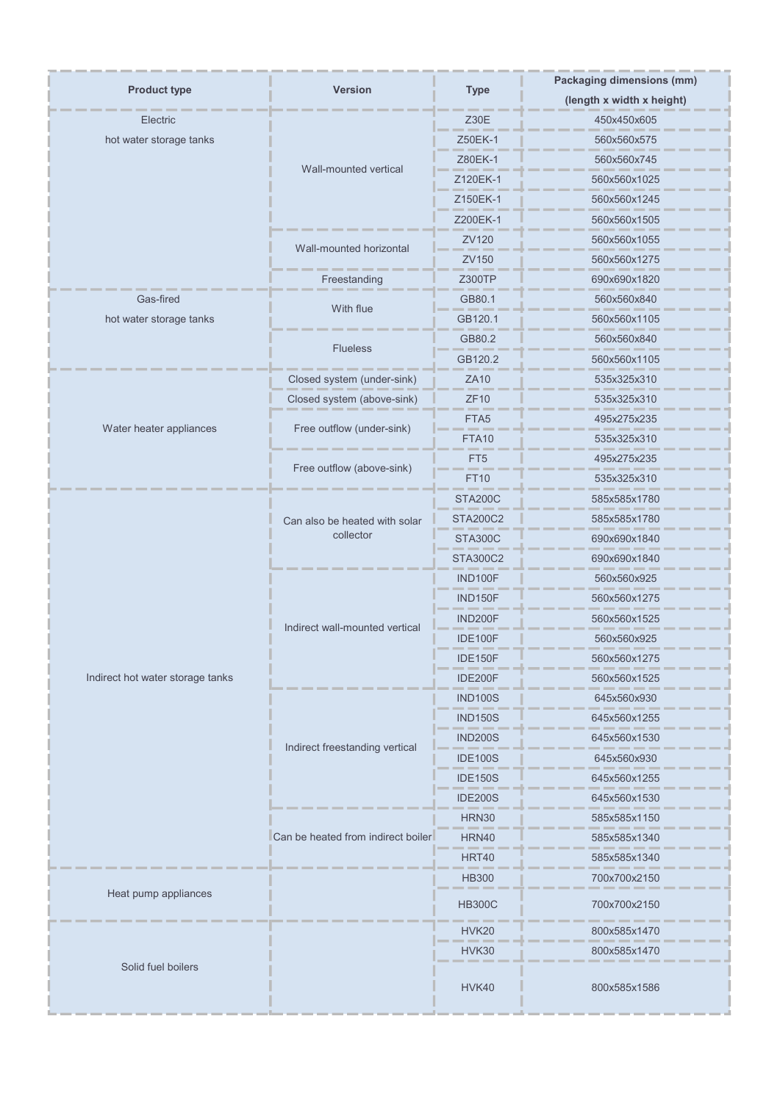| <b>Product type</b>              | <b>Version</b>                     | <b>Type</b>      | <b>Packaging dimensions (mm)</b> |
|----------------------------------|------------------------------------|------------------|----------------------------------|
|                                  |                                    |                  | (length x width x height)        |
| Electric                         |                                    | Z30E             | 450x450x605                      |
| hot water storage tanks          |                                    | Z50EK-1          | 560x560x575                      |
|                                  | Wall-mounted vertical              | Z80EK-1          | 560x560x745                      |
|                                  |                                    | Z120EK-1         | 560x560x1025                     |
|                                  |                                    | Z150EK-1         | 560x560x1245                     |
|                                  |                                    | Z200EK-1         | 560x560x1505                     |
|                                  | Wall-mounted horizontal            | ZV120            | 560x560x1055                     |
|                                  |                                    | ZV150            | 560x560x1275                     |
|                                  | Freestanding                       | Z300TP           | 690x690x1820                     |
| Gas-fired                        | With flue                          | GB80.1           | 560x560x840                      |
| hot water storage tanks          |                                    | GB120.1          | 560x560x1105                     |
|                                  | <b>Flueless</b>                    | GB80.2           | 560x560x840                      |
|                                  |                                    | GB120.2          | 560x560x1105                     |
|                                  | Closed system (under-sink)         | <b>ZA10</b>      | 535x325x310                      |
|                                  | Closed system (above-sink)         | <b>ZF10</b>      | 535x325x310                      |
| Water heater appliances          | Free outflow (under-sink)          | FTA <sub>5</sub> | 495x275x235                      |
|                                  |                                    | FTA10            | 535x325x310                      |
|                                  | Free outflow (above-sink)          | FT <sub>5</sub>  | 495x275x235                      |
|                                  |                                    | <b>FT10</b>      | 535x325x310                      |
|                                  |                                    | <b>STA200C</b>   | 585x585x1780                     |
|                                  | Can also be heated with solar      | <b>STA200C2</b>  | 585x585x1780                     |
|                                  | collector                          | <b>STA300C</b>   | 690x690x1840                     |
|                                  |                                    | <b>STA300C2</b>  | 690x690x1840                     |
|                                  |                                    | IND100F          | 560x560x925                      |
|                                  | Indirect wall-mounted vertical     | <b>IND150F</b>   | 560x560x1275                     |
|                                  |                                    | <b>IND200F</b>   | 560x560x1525                     |
|                                  |                                    | <b>IDE100F</b>   | 560x560x925                      |
| Indirect hot water storage tanks |                                    | IDE150F          | 560x560x1275                     |
|                                  |                                    | <b>IDE200F</b>   | 560x560x1525                     |
|                                  |                                    | <b>IND100S</b>   | 645x560x930                      |
|                                  | Indirect freestanding vertical     | <b>IND150S</b>   | 645x560x1255                     |
|                                  |                                    | <b>IND200S</b>   | 645x560x1530                     |
|                                  |                                    | <b>IDE100S</b>   | 645x560x930                      |
|                                  |                                    | <b>IDE150S</b>   | 645x560x1255                     |
|                                  |                                    | <b>IDE200S</b>   | 645x560x1530                     |
|                                  | Can be heated from indirect boiler | <b>HRN30</b>     | 585x585x1150                     |
|                                  |                                    | HRN40            | 585x585x1340                     |
|                                  |                                    | <b>HRT40</b>     | 585x585x1340                     |
|                                  |                                    | <b>HB300</b>     | 700x700x2150                     |
| Heat pump appliances             |                                    | <b>HB300C</b>    | 700x700x2150                     |
| Solid fuel boilers               |                                    | HVK20            | 800x585x1470                     |
|                                  |                                    | <b>HVK30</b>     | 800x585x1470                     |
|                                  |                                    | HVK40            | 800x585x1586                     |